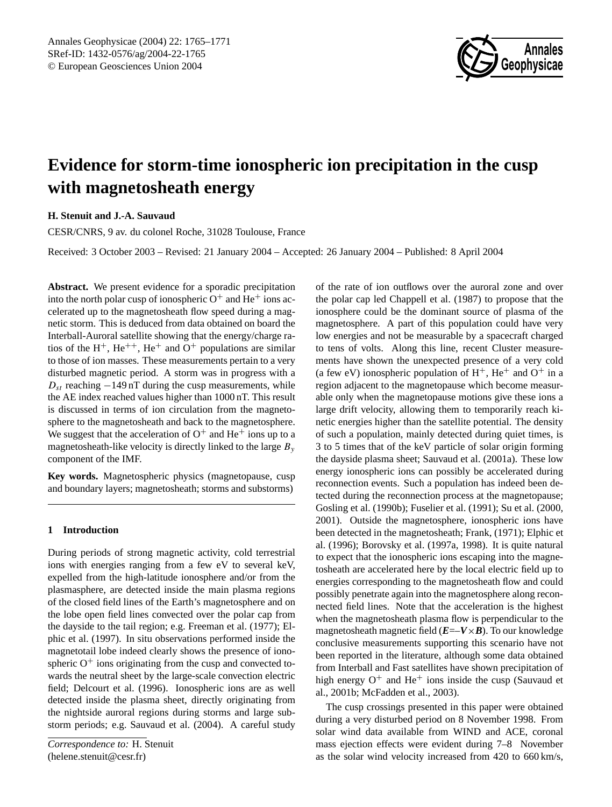

# **Evidence for storm-time ionospheric ion precipitation in the cusp with magnetosheath energy**

# **H. Stenuit and J.-A. Sauvaud**

CESR/CNRS, 9 av. du colonel Roche, 31028 Toulouse, France

Received: 3 October 2003 – Revised: 21 January 2004 – Accepted: 26 January 2004 – Published: 8 April 2004

**Abstract.** We present evidence for a sporadic precipitation into the north polar cusp of ionospheric  $O^+$  and  $He^+$  ions accelerated up to the magnetosheath flow speed during a magnetic storm. This is deduced from data obtained on board the Interball-Auroral satellite showing that the energy/charge ratios of the  $H^+$ ,  $He^{++}$ ,  $He^+$  and  $O^+$  populations are similar to those of ion masses. These measurements pertain to a very disturbed magnetic period. A storm was in progress with a  $D_{st}$  reaching  $-149$  nT during the cusp measurements, while the AE index reached values higher than 1000 nT. This result is discussed in terms of ion circulation from the magnetosphere to the magnetosheath and back to the magnetosphere. We suggest that the acceleration of  $O^+$  and He<sup>+</sup> ions up to a magnetosheath-like velocity is directly linked to the large  $B_y$ component of the IMF.

**Key words.** Magnetospheric physics (magnetopause, cusp and boundary layers; magnetosheath; storms and substorms)

## **1 Introduction**

During periods of strong magnetic activity, cold terrestrial ions with energies ranging from a few eV to several keV, expelled from the high-latitude ionosphere and/or from the plasmasphere, are detected inside the main plasma regions of the closed field lines of the Earth's magnetosphere and on the lobe open field lines convected over the polar cap from the dayside to the tail region; e.g. Freeman et al. (1977); Elphic et al. (1997). In situ observations performed inside the magnetotail lobe indeed clearly shows the presence of ionospheric  $O<sup>+</sup>$  ions originating from the cusp and convected towards the neutral sheet by the large-scale convection electric field; Delcourt et al. (1996). Ionospheric ions are as well detected inside the plasma sheet, directly originating from the nightside auroral regions during storms and large substorm periods; e.g. Sauvaud et al. (2004). A careful study of the rate of ion outflows over the auroral zone and over the polar cap led Chappell et al. (1987) to propose that the ionosphere could be the dominant source of plasma of the magnetosphere. A part of this population could have very low energies and not be measurable by a spacecraft charged to tens of volts. Along this line, recent Cluster measurements have shown the unexpected presence of a very cold (a few eV) ionospheric population of  $H^+$ ,  $He^+$  and  $O^+$  in a region adjacent to the magnetopause which become measurable only when the magnetopause motions give these ions a large drift velocity, allowing them to temporarily reach kinetic energies higher than the satellite potential. The density of such a population, mainly detected during quiet times, is 3 to 5 times that of the keV particle of solar origin forming the dayside plasma sheet; Sauvaud et al. (2001a). These low energy ionospheric ions can possibly be accelerated during reconnection events. Such a population has indeed been detected during the reconnection process at the magnetopause; Gosling et al. (1990b); Fuselier et al. (1991); Su et al. (2000, 2001). Outside the magnetosphere, ionospheric ions have been detected in the magnetosheath; Frank, (1971); Elphic et al. (1996); Borovsky et al. (1997a, 1998). It is quite natural to expect that the ionospheric ions escaping into the magnetosheath are accelerated here by the local electric field up to energies corresponding to the magnetosheath flow and could possibly penetrate again into the magnetosphere along reconnected field lines. Note that the acceleration is the highest when the magnetosheath plasma flow is perpendicular to the magnetosheath magnetic field  $(E=-V\times B)$ . To our knowledge conclusive measurements supporting this scenario have not been reported in the literature, although some data obtained from Interball and Fast satellites have shown precipitation of high energy  $O^+$  and  $He^+$  ions inside the cusp (Sauvaud et al., 2001b; McFadden et al., 2003).

The cusp crossings presented in this paper were obtained during a very disturbed period on 8 November 1998. From solar wind data available from WIND and ACE, coronal mass ejection effects were evident during 7–8 November as the solar wind velocity increased from 420 to 660 km/s,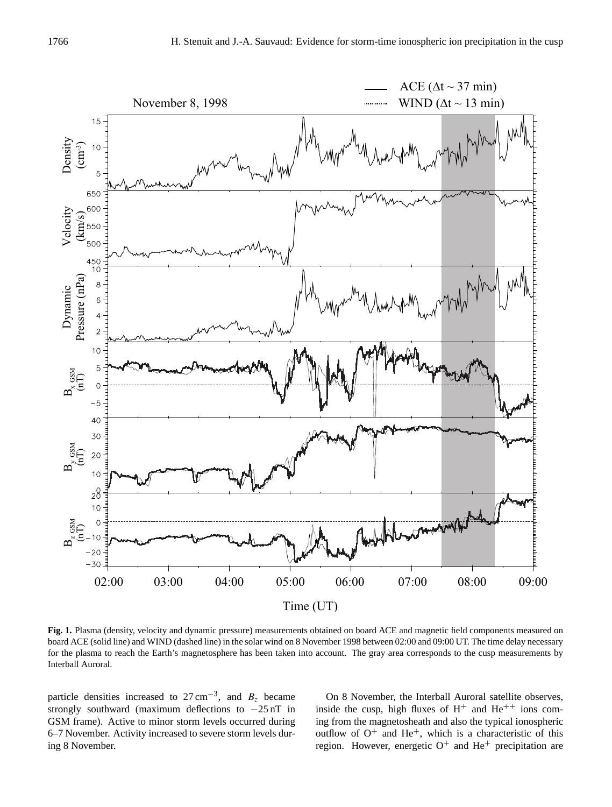

**Fig. 1.** Plasma (density, velocity and dynamic pressure) measurements obtained on board ACE and magnetic field components measured on board ACE (solid line) and WIND (dashed line) in the solar wind on 8 November 1998 between 02:00 and 09:00 UT. The time delay necessary for the plasma to reach the Earth's magnetosphere has been taken into account. The gray area corresponds to the cusp measurements by Interball Auroral.

particle densities increased to  $27 \text{ cm}^{-3}$ , and  $B_z$  became strongly southward (maximum deflections to −25 nT in GSM frame). Active to minor storm levels occurred during 6–7 November. Activity increased to severe storm levels during 8 November.

On 8 November, the Interball Auroral satellite observes, inside the cusp, high fluxes of  $H^+$  and  $He^{++}$  ions coming from the magnetosheath and also the typical ionospheric outflow of  $O^+$  and He<sup>+</sup>, which is a characteristic of this region. However, energetic  $O^+$  and  $He^+$  precipitation are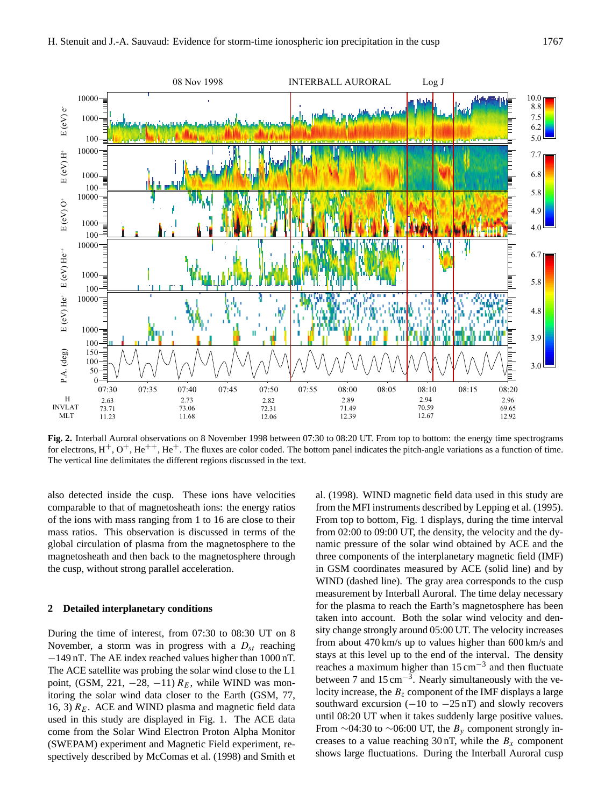

**Fig. 2.** Interball Auroral observations on 8 November 1998 between 07:30 to 08:20 UT. From top to bottom: the energy time spectrograms for electrons,  $H^+, O^+, He^{++}, He^+$ . The fluxes are color coded. The bottom panel indicates the pitch-angle variations as a function of time. The vertical line delimitates the different regions discussed in the text.

also detected inside the cusp. These ions have velocities comparable to that of magnetosheath ions: the energy ratios of the ions with mass ranging from 1 to 16 are close to their mass ratios. This observation is discussed in terms of the global circulation of plasma from the magnetosphere to the magnetosheath and then back to the magnetosphere through the cusp, without strong parallel acceleration.

### **2 Detailed interplanetary conditions**

During the time of interest, from 07:30 to 08:30 UT on 8 November, a storm was in progress with a  $D_{st}$  reaching −149 nT. The AE index reached values higher than 1000 nT. The ACE satellite was probing the solar wind close to the L1 point, (GSM, 221,  $-28$ ,  $-11$ )  $R_E$ , while WIND was monitoring the solar wind data closer to the Earth (GSM, 77, 16, 3)  $R_E$ . ACE and WIND plasma and magnetic field data used in this study are displayed in Fig. 1. The ACE data come from the Solar Wind Electron Proton Alpha Monitor (SWEPAM) experiment and Magnetic Field experiment, respectively described by McComas et al. (1998) and Smith et al. (1998). WIND magnetic field data used in this study are from the MFI instruments described by Lepping et al. (1995). From top to bottom, Fig. 1 displays, during the time interval from 02:00 to 09:00 UT, the density, the velocity and the dynamic pressure of the solar wind obtained by ACE and the three components of the interplanetary magnetic field (IMF) in GSM coordinates measured by ACE (solid line) and by WIND (dashed line). The gray area corresponds to the cusp measurement by Interball Auroral. The time delay necessary for the plasma to reach the Earth's magnetosphere has been taken into account. Both the solar wind velocity and density change strongly around 05:00 UT. The velocity increases from about 470 km/s up to values higher than 600 km/s and stays at this level up to the end of the interval. The density reaches a maximum higher than 15 cm−<sup>3</sup> and then fluctuate between 7 and  $15 \text{ cm}^{-3}$ . Nearly simultaneously with the velocity increase, the  $B<sub>z</sub>$  component of the IMF displays a large southward excursion  $(-10 \text{ to } -25 \text{ nT})$  and slowly recovers until 08:20 UT when it takes suddenly large positive values. From ∼04:30 to ∼06:00 UT, the  $B_y$  component strongly increases to a value reaching 30 nT, while the  $B_x$  component shows large fluctuations. During the Interball Auroral cusp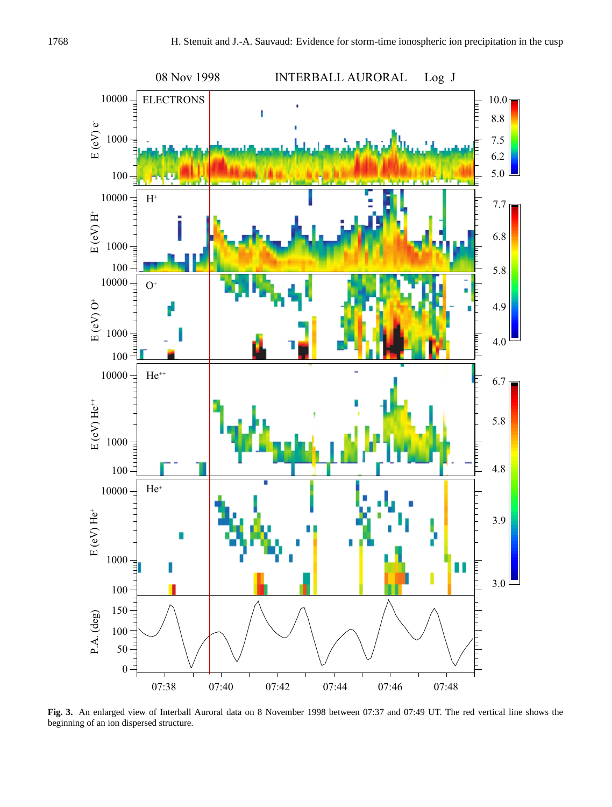

**Fig. 3.** An enlarged view of Interball Auroral data on 8 November 1998 between 07:37 and 07:49 UT. The red vertical line shows the beginning of an ion dispersed structure.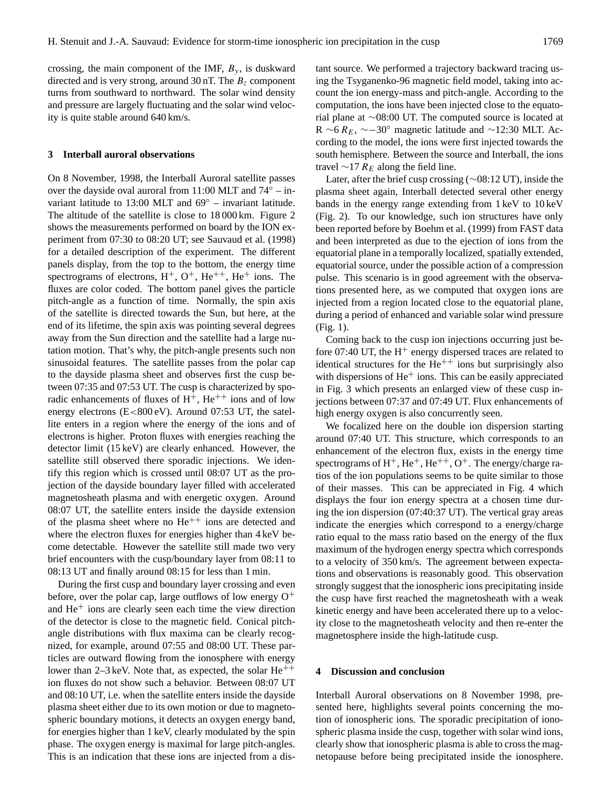crossing, the main component of the IMF,  $B<sub>v</sub>$ , is duskward directed and is very strong, around  $30 \text{ nT}$ . The  $B<sub>z</sub>$  component turns from southward to northward. The solar wind density and pressure are largely fluctuating and the solar wind velocity is quite stable around 640 km/s.

#### **3 Interball auroral observations**

On 8 November, 1998, the Interball Auroral satellite passes over the dayside oval auroral from 11:00 MLT and 74◦ – invariant latitude to 13:00 MLT and 69◦ – invariant latitude. The altitude of the satellite is close to 18 000 km. Figure 2 shows the measurements performed on board by the ION experiment from 07:30 to 08:20 UT; see Sauvaud et al. (1998) for a detailed description of the experiment. The different panels display, from the top to the bottom, the energy time spectrograms of electrons,  $H^+$ ,  $O^+$ ,  $He^{++}$ ,  $He^+$  ions. The fluxes are color coded. The bottom panel gives the particle pitch-angle as a function of time. Normally, the spin axis of the satellite is directed towards the Sun, but here, at the end of its lifetime, the spin axis was pointing several degrees away from the Sun direction and the satellite had a large nutation motion. That's why, the pitch-angle presents such non sinusoidal features. The satellite passes from the polar cap to the dayside plasma sheet and observes first the cusp between 07:35 and 07:53 UT. The cusp is characterized by sporadic enhancements of fluxes of  $H^+$ ,  $He^{++}$  ions and of low energy electrons  $(E<800 eV)$ . Around 07:53 UT, the satellite enters in a region where the energy of the ions and of electrons is higher. Proton fluxes with energies reaching the detector limit (15 keV) are clearly enhanced. However, the satellite still observed there sporadic injections. We identify this region which is crossed until 08:07 UT as the projection of the dayside boundary layer filled with accelerated magnetosheath plasma and with energetic oxygen. Around 08:07 UT, the satellite enters inside the dayside extension of the plasma sheet where no  $He^{++}$  ions are detected and where the electron fluxes for energies higher than 4 keV become detectable. However the satellite still made two very brief encounters with the cusp/boundary layer from 08:11 to 08:13 UT and finally around 08:15 for less than 1 min.

During the first cusp and boundary layer crossing and even before, over the polar cap, large outflows of low energy  $O^+$ and He<sup>+</sup> ions are clearly seen each time the view direction of the detector is close to the magnetic field. Conical pitchangle distributions with flux maxima can be clearly recognized, for example, around 07:55 and 08:00 UT. These particles are outward flowing from the ionosphere with energy lower than  $2-3$  keV. Note that, as expected, the solar  $He^{++}$ ion fluxes do not show such a behavior. Between 08:07 UT and 08:10 UT, i.e. when the satellite enters inside the dayside plasma sheet either due to its own motion or due to magnetospheric boundary motions, it detects an oxygen energy band, for energies higher than 1 keV, clearly modulated by the spin phase. The oxygen energy is maximal for large pitch-angles. This is an indication that these ions are injected from a distant source. We performed a trajectory backward tracing using the Tsyganenko-96 magnetic field model, taking into account the ion energy-mass and pitch-angle. According to the computation, the ions have been injected close to the equatorial plane at ∼08:00 UT. The computed source is located at R ∼6  $R_E$ , ∼−30° magnetic latitude and ~12:30 MLT. According to the model, the ions were first injected towards the south hemisphere. Between the source and Interball, the ions travel  $\sim$ 17  $R_E$  along the field line.

Later, after the brief cusp crossing (∼08:12 UT), inside the plasma sheet again, Interball detected several other energy bands in the energy range extending from 1 keV to 10 keV (Fig. 2). To our knowledge, such ion structures have only been reported before by Boehm et al. (1999) from FAST data and been interpreted as due to the ejection of ions from the equatorial plane in a temporally localized, spatially extended, equatorial source, under the possible action of a compression pulse. This scenario is in good agreement with the observations presented here, as we computed that oxygen ions are injected from a region located close to the equatorial plane, during a period of enhanced and variable solar wind pressure (Fig. 1).

Coming back to the cusp ion injections occurring just before 07:40 UT, the  $H^+$  energy dispersed traces are related to identical structures for the  $He^{++}$  ions but surprisingly also with dispersions of  $He<sup>+</sup>$  ions. This can be easily appreciated in Fig. 3 which presents an enlarged view of these cusp injections between 07:37 and 07:49 UT. Flux enhancements of high energy oxygen is also concurrently seen.

We focalized here on the double ion dispersion starting around 07:40 UT. This structure, which corresponds to an enhancement of the electron flux, exists in the energy time spectrograms of  $H^+$ ,  $He^+$ ,  $He^{++}$ ,  $O^+$ . The energy/charge ratios of the ion populations seems to be quite similar to those of their masses. This can be appreciated in Fig. 4 which displays the four ion energy spectra at a chosen time during the ion dispersion (07:40:37 UT). The vertical gray areas indicate the energies which correspond to a energy/charge ratio equal to the mass ratio based on the energy of the flux maximum of the hydrogen energy spectra which corresponds to a velocity of 350 km/s. The agreement between expectations and observations is reasonably good. This observation strongly suggest that the ionospheric ions precipitating inside the cusp have first reached the magnetosheath with a weak kinetic energy and have been accelerated there up to a velocity close to the magnetosheath velocity and then re-enter the magnetosphere inside the high-latitude cusp.

## **4 Discussion and conclusion**

Interball Auroral observations on 8 November 1998, presented here, highlights several points concerning the motion of ionospheric ions. The sporadic precipitation of ionospheric plasma inside the cusp, together with solar wind ions, clearly show that ionospheric plasma is able to cross the magnetopause before being precipitated inside the ionosphere.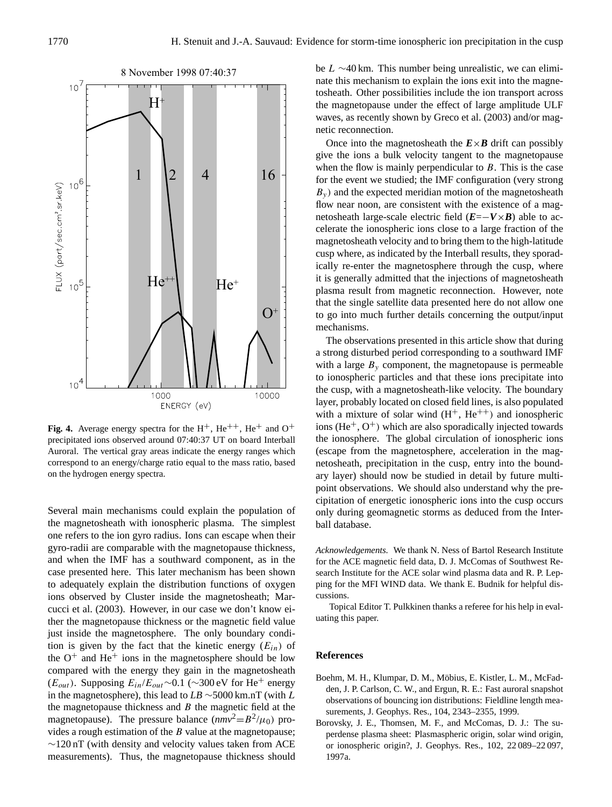

**Fig. 4.** Average energy spectra for the  $H^+$ ,  $He^{++}$ ,  $He^+$  and  $O^+$ precipitated ions observed around 07:40:37 UT on board Interball Auroral. The vertical gray areas indicate the energy ranges which correspond to an energy/charge ratio equal to the mass ratio, based on the hydrogen energy spectra.

Several main mechanisms could explain the population of the magnetosheath with ionospheric plasma. The simplest one refers to the ion gyro radius. Ions can escape when their gyro-radii are comparable with the magnetopause thickness, and when the IMF has a southward component, as in the case presented here. This later mechanism has been shown to adequately explain the distribution functions of oxygen ions observed by Cluster inside the magnetosheath; Marcucci et al. (2003). However, in our case we don't know either the magnetopause thickness or the magnetic field value just inside the magnetosphere. The only boundary condition is given by the fact that the kinetic energy  $(E_{in})$  of the  $O^+$  and  $He^+$  ions in the magnetosphere should be low compared with the energy they gain in the magnetosheath  $(E_{out})$ . Supposing  $E_{in}/E_{out}$ ~0.1 (∼300 eV for He<sup>+</sup> energy in the magnetosphere), this lead to *LB* ∼5000 km.nT (with L the magnetopause thickness and  $B$  the magnetic field at the magnetopause). The pressure balance  $(nmv^2 = B^2/\mu_0)$  provides a rough estimation of the B value at the magnetopause; ∼120 nT (with density and velocity values taken from ACE measurements). Thus, the magnetopause thickness should be L ∼40 km. This number being unrealistic, we can eliminate this mechanism to explain the ions exit into the magnetosheath. Other possibilities include the ion transport across the magnetopause under the effect of large amplitude ULF waves, as recently shown by Greco et al. (2003) and/or magnetic reconnection.

Once into the magnetosheath the  $E \times B$  drift can possibly give the ions a bulk velocity tangent to the magnetopause when the flow is mainly perpendicular to  $B$ . This is the case for the event we studied; the IMF configuration (very strong  $B<sub>v</sub>$ ) and the expected meridian motion of the magnetosheath flow near noon, are consistent with the existence of a magnetosheath large-scale electric field  $(E=-V\times B)$  able to accelerate the ionospheric ions close to a large fraction of the magnetosheath velocity and to bring them to the high-latitude cusp where, as indicated by the Interball results, they sporadically re-enter the magnetosphere through the cusp, where it is generally admitted that the injections of magnetosheath plasma result from magnetic reconnection. However, note that the single satellite data presented here do not allow one to go into much further details concerning the output/input mechanisms.

The observations presented in this article show that during a strong disturbed period corresponding to a southward IMF with a large  $B<sub>v</sub>$  component, the magnetopause is permeable to ionospheric particles and that these ions precipitate into the cusp, with a magnetosheath-like velocity. The boundary layer, probably located on closed field lines, is also populated with a mixture of solar wind  $(H^+, He^{++})$  and ionospheric ions (He<sup>+</sup>,  $O<sup>+</sup>$ ) which are also sporadically injected towards the ionosphere. The global circulation of ionospheric ions (escape from the magnetosphere, acceleration in the magnetosheath, precipitation in the cusp, entry into the boundary layer) should now be studied in detail by future multipoint observations. We should also understand why the precipitation of energetic ionospheric ions into the cusp occurs only during geomagnetic storms as deduced from the Interball database.

*Acknowledgements.* We thank N. Ness of Bartol Research Institute for the ACE magnetic field data, D. J. McComas of Southwest Research Institute for the ACE solar wind plasma data and R. P. Lepping for the MFI WIND data. We thank E. Budnik for helpful discussions.

Topical Editor T. Pulkkinen thanks a referee for his help in evaluating this paper.

#### **References**

- Boehm, M. H., Klumpar, D. M., Möbius, E. Kistler, L. M., McFadden, J. P. Carlson, C. W., and Ergun, R. E.: Fast auroral snapshot observations of bouncing ion distributions: Fieldline length measurements, J. Geophys. Res., 104, 2343–2355, 1999.
- Borovsky, J. E., Thomsen, M. F., and McComas, D. J.: The superdense plasma sheet: Plasmaspheric origin, solar wind origin, or ionospheric origin?, J. Geophys. Res., 102, 22 089–22 097, 1997a.